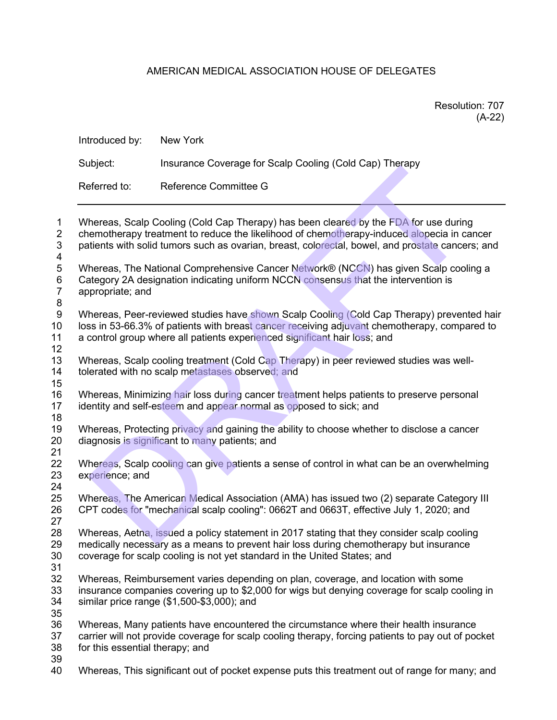## AMERICAN MEDICAL ASSOCIATION HOUSE OF DELEGATES

| Resolution: 707 |
|-----------------|
| $(A-22)$        |

| $\mathbf{1}$<br>$\overline{2}$<br>3<br>4<br>5<br>6<br>$\overline{7}$<br>8<br>9<br>10<br>11<br>12<br>13<br>14<br>15<br>16<br>17<br>18<br>19<br>20<br>21<br>22<br>23<br>24<br>25<br>26<br>27 | Introduced by:                                                                                                                                                                                                                                                                         | New York                                                                                                                                                                           |  |  |
|--------------------------------------------------------------------------------------------------------------------------------------------------------------------------------------------|----------------------------------------------------------------------------------------------------------------------------------------------------------------------------------------------------------------------------------------------------------------------------------------|------------------------------------------------------------------------------------------------------------------------------------------------------------------------------------|--|--|
|                                                                                                                                                                                            | Subject:                                                                                                                                                                                                                                                                               | Insurance Coverage for Scalp Cooling (Cold Cap) Therapy                                                                                                                            |  |  |
|                                                                                                                                                                                            | Referred to:                                                                                                                                                                                                                                                                           | Reference Committee G                                                                                                                                                              |  |  |
|                                                                                                                                                                                            | Whereas, Scalp Cooling (Cold Cap Therapy) has been cleared by the FDA for use during<br>chemotherapy treatment to reduce the likelihood of chemotherapy-induced alopecia in cancer<br>patients with solid tumors such as ovarian, breast, colorectal, bowel, and prostate cancers; and |                                                                                                                                                                                    |  |  |
|                                                                                                                                                                                            | appropriate; and                                                                                                                                                                                                                                                                       | Whereas, The National Comprehensive Cancer Network® (NCCN) has given Scalp cooling a<br>Category 2A designation indicating uniform NCCN consensus that the intervention is         |  |  |
|                                                                                                                                                                                            | Whereas, Peer-reviewed studies have shown Scalp Cooling (Cold Cap Therapy) prevented hair<br>loss in 53-66.3% of patients with breast cancer receiving adjuvant chemotherapy, compared to<br>a control group where all patients experienced significant hair loss; and                 |                                                                                                                                                                                    |  |  |
|                                                                                                                                                                                            | Whereas, Scalp cooling treatment (Cold Cap Therapy) in peer reviewed studies was well-<br>tolerated with no scalp metastases observed; and                                                                                                                                             |                                                                                                                                                                                    |  |  |
|                                                                                                                                                                                            | Whereas, Minimizing hair loss during cancer treatment helps patients to preserve personal<br>identity and self-esteem and appear normal as opposed to sick; and                                                                                                                        |                                                                                                                                                                                    |  |  |
|                                                                                                                                                                                            | Whereas, Protecting privacy and gaining the ability to choose whether to disclose a cancer<br>diagnosis is significant to many patients; and                                                                                                                                           |                                                                                                                                                                                    |  |  |
|                                                                                                                                                                                            | Whereas, Scalp cooling can give patients a sense of control in what can be an overwhelming<br>experience; and                                                                                                                                                                          |                                                                                                                                                                                    |  |  |
|                                                                                                                                                                                            |                                                                                                                                                                                                                                                                                        | Whereas, The American Medical Association (AMA) has issued two (2) separate Category III<br>CPT codes for "mechanical scalp cooling": 0662T and 0663T, effective July 1, 2020; and |  |  |
| 28<br>29<br>30<br>31                                                                                                                                                                       | Whereas, Aetha, issued a policy statement in 2017 stating that they consider scalp cooling<br>medically necessary as a means to prevent hair loss during chemotherapy but insurance<br>coverage for scalp cooling is not yet standard in the United States; and                        |                                                                                                                                                                                    |  |  |
| 32<br>33<br>34<br>35                                                                                                                                                                       | Whereas, Reimbursement varies depending on plan, coverage, and location with some<br>insurance companies covering up to \$2,000 for wigs but denying coverage for scalp cooling in<br>similar price range (\$1,500-\$3,000); and                                                       |                                                                                                                                                                                    |  |  |
| 36<br>37<br>38<br>39                                                                                                                                                                       | Whereas, Many patients have encountered the circumstance where their health insurance<br>carrier will not provide coverage for scalp cooling therapy, forcing patients to pay out of pocket<br>for this essential therapy; and                                                         |                                                                                                                                                                                    |  |  |
| 40                                                                                                                                                                                         |                                                                                                                                                                                                                                                                                        | Whereas, This significant out of pocket expense puts this treatment out of range for many; and                                                                                     |  |  |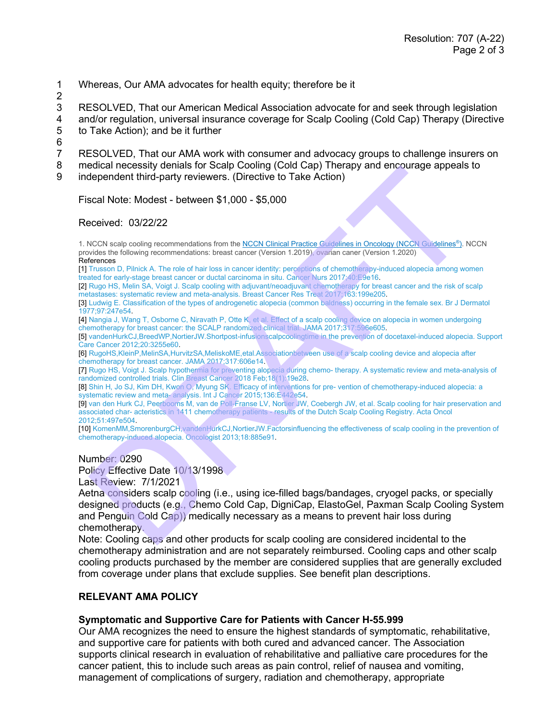- 1 Whereas, Our AMA advocates for health equity; therefore be it
- 2

3 RESOLVED, That our American Medical Association advocate for and seek through legislation 4 and/or regulation, universal insurance coverage for Scalp Cooling (Cold Cap) Therapy (Directive<br>5 to Take Action); and be it further to Take Action); and be it further

 $\frac{6}{7}$ 

RESOLVED, That our AMA work with consumer and advocacy groups to challenge insurers on

8 medical necessity denials for Scalp Cooling (Cold Cap) Therapy and encourage appeals to

9 independent third-party reviewers. (Directive to Take Action)

Fiscal Note: Modest - between \$1,000 - \$5,000

## Received: 03/22/22

1. NCCN scalp cooling recommendations from the NCCN Clinical Practice Guidelines in Oncology (NCCN Guidelines®). NCCN provides the following recommendations: breast cancer (Version 1.2019), ovarian caner (Version 1.2020) **References** 

[1] Trusson D, Pilnick A. The role of hair loss in cancer identity: perceptions of chemotherapy-induced alopecia among women treated for early-stage breast cancer or ductal carcinoma in situ. Cancer Nurs 2017;40:E9e16.

[2] Rugo HS, Melin SA, Voigt J. Scalp cooling with adjuvant/neoadjuvant chemotherapy for breast cancer and the risk of scalp metastases: systematic review and meta-analysis. Breast Cancer Res Treat 2017;163:199e205.

[3] Ludwig E. Classification of the types of androgenetic alopecia (common baldness) occurring in the female sex. Br J Dermatol 1977;97:247e54.

[4] Nangia J, Wang T, Osborne C, Niravath P, Otte K, et al. Effect of a scalp cooling device on alopecia in women undergoing chemotherapy for breast cancer: the SCALP randomized clinical trial. JAMA 2017;317:596e605.

[5] vandenHurkCJ,BreedWP,NortierJW.Shortpost-infusionscalpcoolingtime in the prevention of docetaxel-induced alopecia. Support Care Cancer 2012;20:3255e60.

[6] RugoHS,KleinP,MelinSA,HurvitzSA,MeliskoME,etal.Associationbetween use of a scalp cooling device and alopecia after chemotherapy for breast cancer. JAMA 2017;317:606e14.

[7] Rugo HS, Voigt J. Scalp hypothermia for preventing alopecia during chemo- therapy. A systematic review and meta-analysis of randomized controlled trials. Clin Breast Cancer 2018 Feb;18(1):19e28.

[8] Shin H, Jo SJ, Kim DH, Kwon O, Myung SK. Efficacy of interventions for pre- vention of chemotherapy-induced alopecia: a systematic review and meta- analysis. Int J Cancer 2015;136:E442e54.

[9] van den Hurk CJ, Peerbooms M, van de Poll-Franse LV, Nortier JW, Coebergh JW, et al. Scalp cooling for hair preservation and associated char- acteristics in 1411 chemotherapy patients - results of the Dutch Scalp Cooling Registry. Acta Oncol 2012;51:497e504.

[10] KomenMM,SmorenburgCH,vandenHurkCJ,NortierJW.Factorsinfluencing the effectiveness of scalp cooling in the prevention of chemotherapy-induced alopecia. Oncologist 2013;18:885e91.

Number: 0290

Policy Effective Date 10/13/1998

Last Review: 7/1/2021

Aetna considers scalp cooling (i.e., using ice-filled bags/bandages, cryogel packs, or specially designed products (e.g., Chemo Cold Cap, DigniCap, ElastoGel, Paxman Scalp Cooling System and Penguin Cold Cap)) medically necessary as a means to prevent hair loss during chemotherapy. Bruces and the term of the state of the state of the state of the state of the method of the state of the state of the state of the state of the state of the state of the state of the state of the state of the state of the

Note: Cooling caps and other products for scalp cooling are considered incidental to the chemotherapy administration and are not separately reimbursed. Cooling caps and other scalp cooling products purchased by the member are considered supplies that are generally excluded from coverage under plans that exclude supplies. See benefit plan descriptions.

## **RELEVANT AMA POLICY**

## **Symptomatic and Supportive Care for Patients with Cancer H-55.999**

Our AMA recognizes the need to ensure the highest standards of symptomatic, rehabilitative, and supportive care for patients with both cured and advanced cancer. The Association supports clinical research in evaluation of rehabilitative and palliative care procedures for the cancer patient, this to include such areas as pain control, relief of nausea and vomiting, management of complications of surgery, radiation and chemotherapy, appropriate